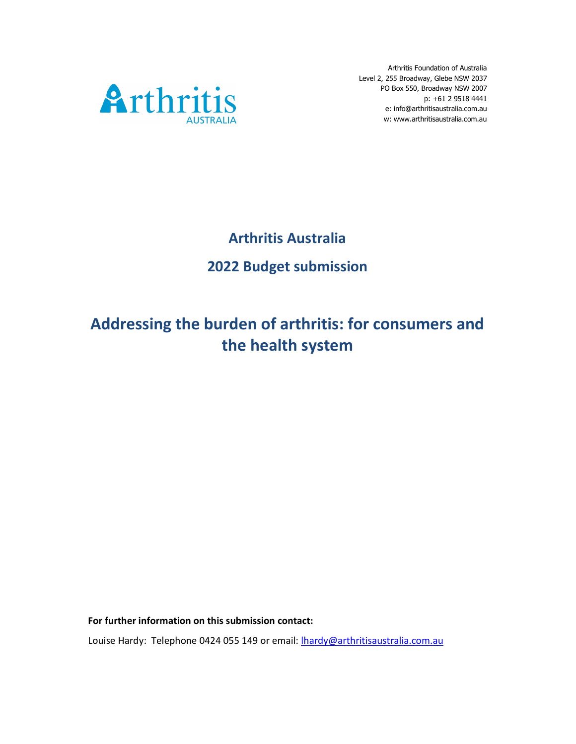

Arthritis Foundation of Australia Level 2, 255 Broadway, Glebe NSW 2037 p: +61 2 9518 4441 e: info@arthritisaustralia.com.au w: www.arthritisaustralia.com.au

# Arthritis Australia 2022 Budget submission

# Addressing the burden of arthritis: for consumers and the health system

For further information on this submission contact:

Louise Hardy: Telephone 0424 055 149 or email: lhardy@arthritisaustralia.com.au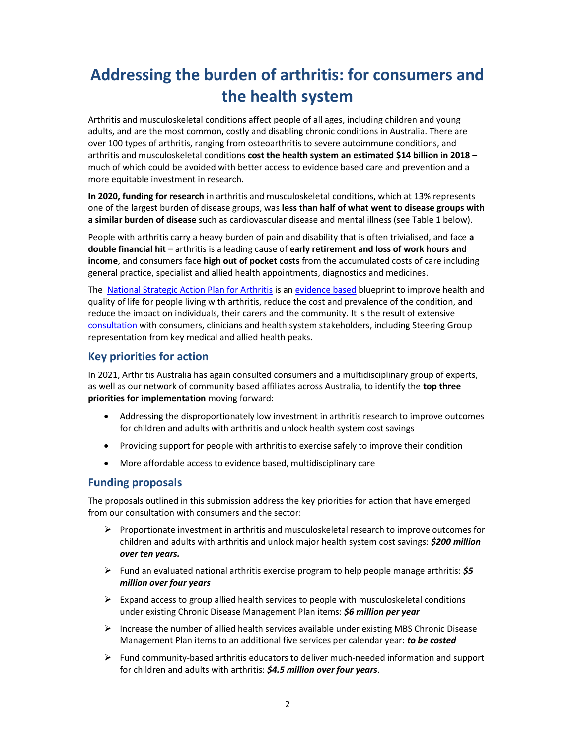# Addressing the burden of arthritis: for consumers and the health system

Arthritis and musculoskeletal conditions affect people of all ages, including children and young adults, and are the most common, costly and disabling chronic conditions in Australia. There are over 100 types of arthritis, ranging from osteoarthritis to severe autoimmune conditions, and arthritis and musculoskeletal conditions cost the health system an estimated \$14 billion in 2018 – much of which could be avoided with better access to evidence based care and prevention and a more equitable investment in research.

In 2020, funding for research in arthritis and musculoskeletal conditions, which at 13% represents one of the largest burden of disease groups, was less than half of what went to disease groups with a similar burden of disease such as cardiovascular disease and mental illness (see Table 1 below).

People with arthritis carry a heavy burden of pain and disability that is often trivialised, and face a double financial hit – arthritis is a leading cause of early retirement and loss of work hours and income, and consumers face high out of pocket costs from the accumulated costs of care including general practice, specialist and allied health appointments, diagnostics and medicines.

The National Strategic Action Plan for Arthritis is an evidence based blueprint to improve health and quality of life for people living with arthritis, reduce the cost and prevalence of the condition, and reduce the impact on individuals, their carers and the community. It is the result of extensive consultation with consumers, clinicians and health system stakeholders, including Steering Group representation from key medical and allied health peaks.

## Key priorities for action

In 2021, Arthritis Australia has again consulted consumers and a multidisciplinary group of experts, as well as our network of community based affiliates across Australia, to identify the top three priorities for implementation moving forward:

- Addressing the disproportionately low investment in arthritis research to improve outcomes for children and adults with arthritis and unlock health system cost savings
- Providing support for people with arthritis to exercise safely to improve their condition
- More affordable access to evidence based, multidisciplinary care

#### Funding proposals

The proposals outlined in this submission address the key priorities for action that have emerged from our consultation with consumers and the sector:

- $\triangleright$  Proportionate investment in arthritis and musculoskeletal research to improve outcomes for children and adults with arthritis and unlock major health system cost savings: \$200 million over ten years.
- Fund an evaluated national arthritis exercise program to help people manage arthritis:  $\sharp 5$ million over four years
- $\triangleright$  Expand access to group allied health services to people with musculoskeletal conditions under existing Chronic Disease Management Plan items: 56 million per year
- $\triangleright$  Increase the number of allied health services available under existing MBS Chronic Disease Management Plan items to an additional five services per calendar year: to be costed
- $\triangleright$  Fund community-based arthritis educators to deliver much-needed information and support for children and adults with arthritis: \$4.5 million over four years.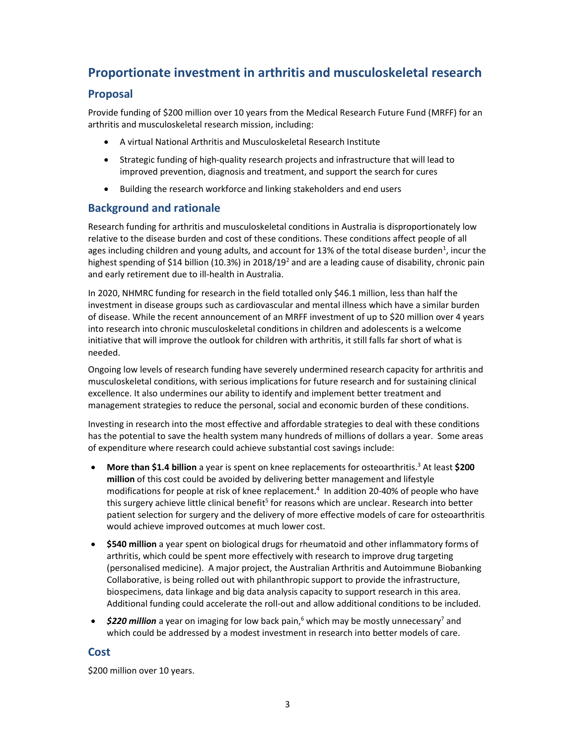# Proportionate investment in arthritis and musculoskeletal research

## Proposal

Provide funding of \$200 million over 10 years from the Medical Research Future Fund (MRFF) for an arthritis and musculoskeletal research mission, including:

- A virtual National Arthritis and Musculoskeletal Research Institute
- Strategic funding of high-quality research projects and infrastructure that will lead to improved prevention, diagnosis and treatment, and support the search for cures
- Building the research workforce and linking stakeholders and end users

## Background and rationale

Research funding for arthritis and musculoskeletal conditions in Australia is disproportionately low relative to the disease burden and cost of these conditions. These conditions affect people of all ages including children and young adults, and account for 13% of the total disease burden<sup>1</sup>, incur the highest spending of \$14 billion (10.3%) in 2018/19<sup>2</sup> and are a leading cause of disability, chronic pain and early retirement due to ill-health in Australia.

In 2020, NHMRC funding for research in the field totalled only \$46.1 million, less than half the investment in disease groups such as cardiovascular and mental illness which have a similar burden of disease. While the recent announcement of an MRFF investment of up to \$20 million over 4 years into research into chronic musculoskeletal conditions in children and adolescents is a welcome initiative that will improve the outlook for children with arthritis, it still falls far short of what is needed.

Ongoing low levels of research funding have severely undermined research capacity for arthritis and musculoskeletal conditions, with serious implications for future research and for sustaining clinical excellence. It also undermines our ability to identify and implement better treatment and management strategies to reduce the personal, social and economic burden of these conditions.

Investing in research into the most effective and affordable strategies to deal with these conditions has the potential to save the health system many hundreds of millions of dollars a year. Some areas of expenditure where research could achieve substantial cost savings include:

- More than \$1.4 billion a year is spent on knee replacements for osteoarthritis.<sup>3</sup> At least \$200 million of this cost could be avoided by delivering better management and lifestyle modifications for people at risk of knee replacement.<sup>4</sup> In addition 20-40% of people who have this surgery achieve little clinical benefit<sup>5</sup> for reasons which are unclear. Research into better patient selection for surgery and the delivery of more effective models of care for osteoarthritis would achieve improved outcomes at much lower cost.
- \$540 million a year spent on biological drugs for rheumatoid and other inflammatory forms of arthritis, which could be spent more effectively with research to improve drug targeting (personalised medicine). A major project, the Australian Arthritis and Autoimmune Biobanking Collaborative, is being rolled out with philanthropic support to provide the infrastructure, biospecimens, data linkage and big data analysis capacity to support research in this area. Additional funding could accelerate the roll-out and allow additional conditions to be included.
- $$220$  million a year on imaging for low back pain,<sup>6</sup> which may be mostly unnecessary<sup>7</sup> and which could be addressed by a modest investment in research into better models of care.

#### Cost

\$200 million over 10 years.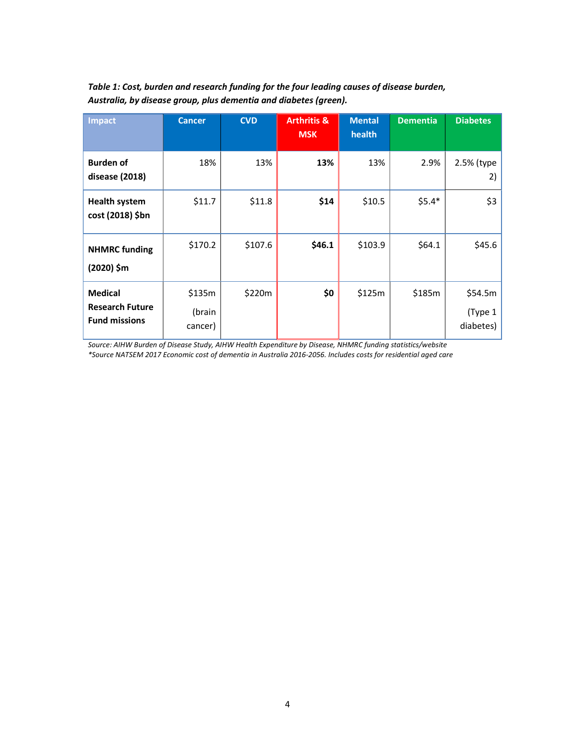| <b>Impact</b>                                                    | <b>Cancer</b>               | <b>CVD</b> | <b>Arthritis &amp;</b><br><b>MSK</b> | <b>Mental</b><br>health | <b>Dementia</b> | <b>Diabetes</b>                 |
|------------------------------------------------------------------|-----------------------------|------------|--------------------------------------|-------------------------|-----------------|---------------------------------|
| <b>Burden of</b><br>disease (2018)                               | 18%                         | 13%        | 13%                                  | 13%                     | 2.9%            | 2.5% (type<br>2)                |
| <b>Health system</b><br>cost (2018) \$bn                         | \$11.7                      | \$11.8     | \$14                                 | \$10.5                  | $$5.4*$         | \$3                             |
| <b>NHMRC</b> funding<br>(2020) \$m                               | \$170.2                     | \$107.6    | \$46.1                               | \$103.9                 | \$64.1          | \$45.6                          |
| <b>Medical</b><br><b>Research Future</b><br><b>Fund missions</b> | \$135m<br>(brain<br>cancer) | \$220m     | \$0                                  | \$125m                  | \$185m          | \$54.5m<br>(Type 1<br>diabetes) |

Table 1: Cost, burden and research funding for the four leading causes of disease burden, Australia, by disease group, plus dementia and diabetes (green).

Source: AIHW Burden of Disease Study, AIHW Health Expenditure by Disease, NHMRC funding statistics/website \*Source NATSEM 2017 Economic cost of dementia in Australia 2016-2056. Includes costs for residential aged care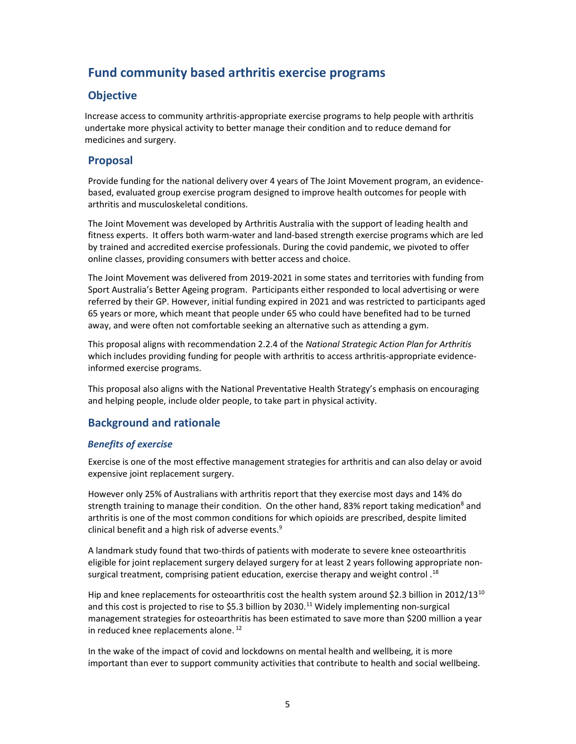# Fund community based arthritis exercise programs

## **Objective**

Increase access to community arthritis-appropriate exercise programs to help people with arthritis undertake more physical activity to better manage their condition and to reduce demand for medicines and surgery.

#### Proposal

Provide funding for the national delivery over 4 years of The Joint Movement program, an evidencebased, evaluated group exercise program designed to improve health outcomes for people with arthritis and musculoskeletal conditions.

The Joint Movement was developed by Arthritis Australia with the support of leading health and fitness experts. It offers both warm-water and land-based strength exercise programs which are led by trained and accredited exercise professionals. During the covid pandemic, we pivoted to offer online classes, providing consumers with better access and choice.

The Joint Movement was delivered from 2019-2021 in some states and territories with funding from Sport Australia's Better Ageing program. Participants either responded to local advertising or were referred by their GP. However, initial funding expired in 2021 and was restricted to participants aged 65 years or more, which meant that people under 65 who could have benefited had to be turned away, and were often not comfortable seeking an alternative such as attending a gym.

This proposal aligns with recommendation 2.2.4 of the National Strategic Action Plan for Arthritis which includes providing funding for people with arthritis to access arthritis-appropriate evidenceinformed exercise programs.

This proposal also aligns with the National Preventative Health Strategy's emphasis on encouraging and helping people, include older people, to take part in physical activity.

# Background and rationale

#### Benefits of exercise

Exercise is one of the most effective management strategies for arthritis and can also delay or avoid expensive joint replacement surgery.

However only 25% of Australians with arthritis report that they exercise most days and 14% do strength training to manage their condition. On the other hand, 83% report taking medication<sup>8</sup> and arthritis is one of the most common conditions for which opioids are prescribed, despite limited clinical benefit and a high risk of adverse events.<sup>9</sup>

A landmark study found that two-thirds of patients with moderate to severe knee osteoarthritis eligible for joint replacement surgery delayed surgery for at least 2 years following appropriate nonsurgical treatment, comprising patient education, exercise therapy and weight control  $^{18}$ 

Hip and knee replacements for osteoarthritis cost the health system around \$2.3 billion in 2012/13<sup>10</sup> and this cost is projected to rise to \$5.3 billion by 2030.<sup>11</sup> Widely implementing non-surgical management strategies for osteoarthritis has been estimated to save more than \$200 million a year in reduced knee replacements alone.<sup>12</sup>

In the wake of the impact of covid and lockdowns on mental health and wellbeing, it is more important than ever to support community activities that contribute to health and social wellbeing.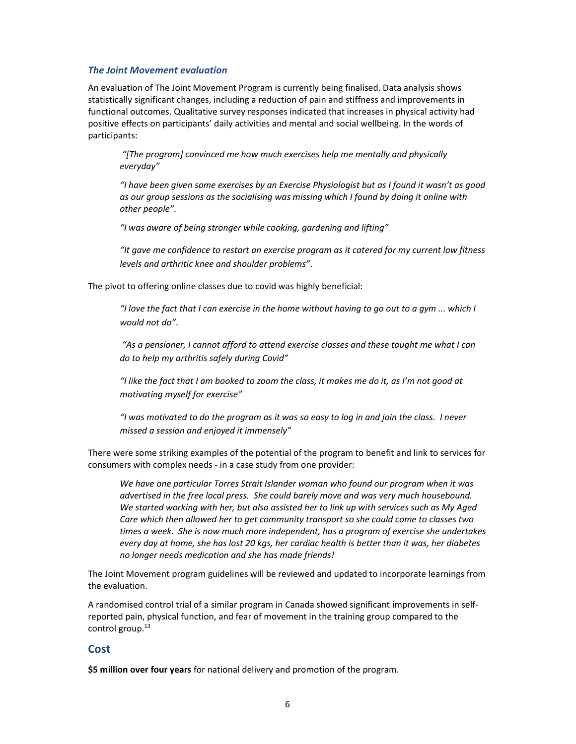#### The Joint Movement evaluation

An evaluation of The Joint Movement Program is currently being finalised. Data analysis shows statistically significant changes, including a reduction of pain and stiffness and improvements in functional outcomes. Qualitative survey responses indicated that increases in physical activity had positive effects on participants' daily activities and mental and social wellbeing. In the words of participants:

 "[The program] convinced me how much exercises help me mentally and physically everyday"

"I have been given some exercises by an Exercise Physiologist but as I found it wasn't as good as our group sessions as the socialising was missing which I found by doing it online with other people".

"I was aware of being stronger while cooking, gardening and lifting"

"It gave me confidence to restart an exercise program as it catered for my current low fitness levels and arthritic knee and shoulder problems".

The pivot to offering online classes due to covid was highly beneficial:

"I love the fact that I can exercise in the home without having to go out to a gym ... which I would not do".

"As a pensioner, I cannot afford to attend exercise classes and these taught me what I can do to help my arthritis safely during Covid"

"I like the fact that I am booked to zoom the class, it makes me do it, as I'm not good at motivating myself for exercise"

"I was motivated to do the program as it was so easy to log in and join the class. I never missed a session and enjoyed it immensely"

There were some striking examples of the potential of the program to benefit and link to services for consumers with complex needs - in a case study from one provider:

We have one particular Torres Strait Islander woman who found our program when it was advertised in the free local press. She could barely move and was very much housebound. We started working with her, but also assisted her to link up with services such as My Aged Care which then allowed her to get community transport so she could come to classes two times a week. She is now much more independent, has a program of exercise she undertakes every day at home, she has lost 20 kgs, her cardiac health is better than it was, her diabetes no longer needs medication and she has made friends!

The Joint Movement program guidelines will be reviewed and updated to incorporate learnings from the evaluation.

A randomised control trial of a similar program in Canada showed significant improvements in selfreported pain, physical function, and fear of movement in the training group compared to the control group.<sup>13</sup>

#### Cost

\$5 million over four years for national delivery and promotion of the program.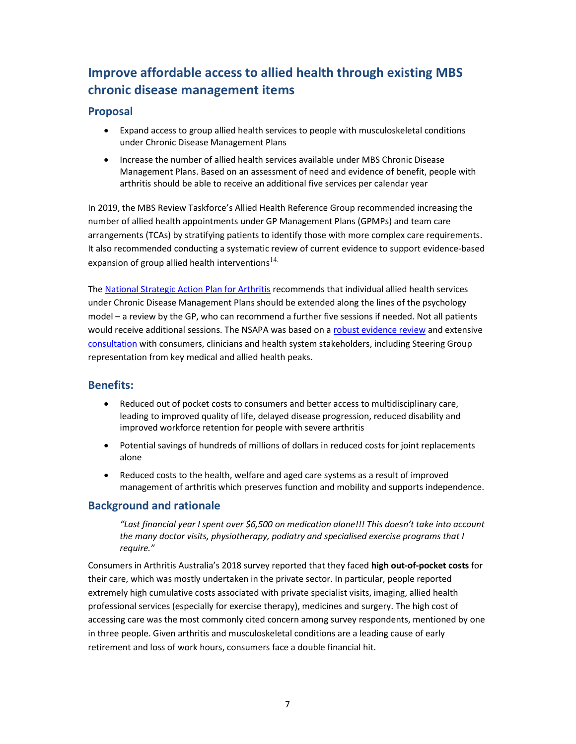# Improve affordable access to allied health through existing MBS chronic disease management items

## Proposal

- Expand access to group allied health services to people with musculoskeletal conditions under Chronic Disease Management Plans
- Increase the number of allied health services available under MBS Chronic Disease Management Plans. Based on an assessment of need and evidence of benefit, people with arthritis should be able to receive an additional five services per calendar year

In 2019, the MBS Review Taskforce's Allied Health Reference Group recommended increasing the number of allied health appointments under GP Management Plans (GPMPs) and team care arrangements (TCAs) by stratifying patients to identify those with more complex care requirements. It also recommended conducting a systematic review of current evidence to support evidence-based expansion of group allied health interventions $^{14}$ .

The National Strategic Action Plan for Arthritis recommends that individual allied health services under Chronic Disease Management Plans should be extended along the lines of the psychology model – a review by the GP, who can recommend a further five sessions if needed. Not all patients would receive additional sessions. The NSAPA was based on a robust evidence review and extensive consultation with consumers, clinicians and health system stakeholders, including Steering Group representation from key medical and allied health peaks.

#### Benefits:

- Reduced out of pocket costs to consumers and better access to multidisciplinary care, leading to improved quality of life, delayed disease progression, reduced disability and improved workforce retention for people with severe arthritis
- Potential savings of hundreds of millions of dollars in reduced costs for joint replacements alone
- Reduced costs to the health, welfare and aged care systems as a result of improved management of arthritis which preserves function and mobility and supports independence.

#### Background and rationale

"Last financial year I spent over \$6,500 on medication alone!!! This doesn't take into account the many doctor visits, physiotherapy, podiatry and specialised exercise programs that I require."

Consumers in Arthritis Australia's 2018 survey reported that they faced high out-of-pocket costs for their care, which was mostly undertaken in the private sector. In particular, people reported extremely high cumulative costs associated with private specialist visits, imaging, allied health professional services (especially for exercise therapy), medicines and surgery. The high cost of accessing care was the most commonly cited concern among survey respondents, mentioned by one in three people. Given arthritis and musculoskeletal conditions are a leading cause of early retirement and loss of work hours, consumers face a double financial hit.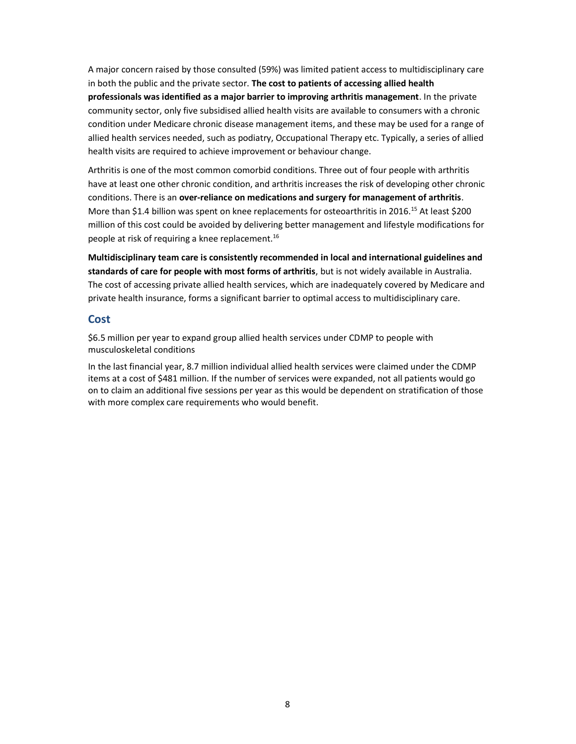A major concern raised by those consulted (59%) was limited patient access to multidisciplinary care in both the public and the private sector. The cost to patients of accessing allied health professionals was identified as a major barrier to improving arthritis management. In the private community sector, only five subsidised allied health visits are available to consumers with a chronic condition under Medicare chronic disease management items, and these may be used for a range of allied health services needed, such as podiatry, Occupational Therapy etc. Typically, a series of allied health visits are required to achieve improvement or behaviour change.

Arthritis is one of the most common comorbid conditions. Three out of four people with arthritis have at least one other chronic condition, and arthritis increases the risk of developing other chronic conditions. There is an over-reliance on medications and surgery for management of arthritis. More than \$1.4 billion was spent on knee replacements for osteoarthritis in 2016.<sup>15</sup> At least \$200 million of this cost could be avoided by delivering better management and lifestyle modifications for people at risk of requiring a knee replacement.<sup>16</sup>

Multidisciplinary team care is consistently recommended in local and international guidelines and standards of care for people with most forms of arthritis, but is not widely available in Australia. The cost of accessing private allied health services, which are inadequately covered by Medicare and private health insurance, forms a significant barrier to optimal access to multidisciplinary care.

#### Cost

\$6.5 million per year to expand group allied health services under CDMP to people with musculoskeletal conditions

In the last financial year, 8.7 million individual allied health services were claimed under the CDMP items at a cost of \$481 million. If the number of services were expanded, not all patients would go on to claim an additional five sessions per year as this would be dependent on stratification of those with more complex care requirements who would benefit.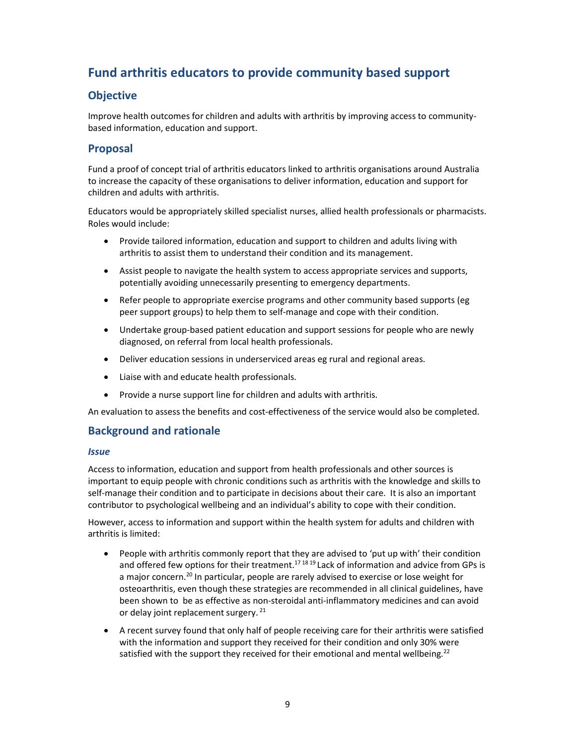# Fund arthritis educators to provide community based support

# **Objective**

Improve health outcomes for children and adults with arthritis by improving access to communitybased information, education and support.

## Proposal

Fund a proof of concept trial of arthritis educators linked to arthritis organisations around Australia to increase the capacity of these organisations to deliver information, education and support for children and adults with arthritis.

Educators would be appropriately skilled specialist nurses, allied health professionals or pharmacists. Roles would include:

- Provide tailored information, education and support to children and adults living with arthritis to assist them to understand their condition and its management.
- Assist people to navigate the health system to access appropriate services and supports, potentially avoiding unnecessarily presenting to emergency departments.
- Refer people to appropriate exercise programs and other community based supports (eg peer support groups) to help them to self-manage and cope with their condition.
- Undertake group-based patient education and support sessions for people who are newly diagnosed, on referral from local health professionals.
- Deliver education sessions in underserviced areas eg rural and regional areas.
- Liaise with and educate health professionals.
- Provide a nurse support line for children and adults with arthritis.

An evaluation to assess the benefits and cost-effectiveness of the service would also be completed.

#### Background and rationale

#### Issue

Access to information, education and support from health professionals and other sources is important to equip people with chronic conditions such as arthritis with the knowledge and skills to self-manage their condition and to participate in decisions about their care. It is also an important contributor to psychological wellbeing and an individual's ability to cope with their condition.

However, access to information and support within the health system for adults and children with arthritis is limited:

- People with arthritis commonly report that they are advised to 'put up with' their condition and offered few options for their treatment.<sup>17 18 19</sup> Lack of information and advice from GPs is a major concern.<sup>20</sup> In particular, people are rarely advised to exercise or lose weight for osteoarthritis, even though these strategies are recommended in all clinical guidelines, have been shown to be as effective as non-steroidal anti-inflammatory medicines and can avoid or delay joint replacement surgery.<sup>21</sup>
- A recent survey found that only half of people receiving care for their arthritis were satisfied with the information and support they received for their condition and only 30% were satisfied with the support they received for their emotional and mental wellbeing.<sup>22</sup>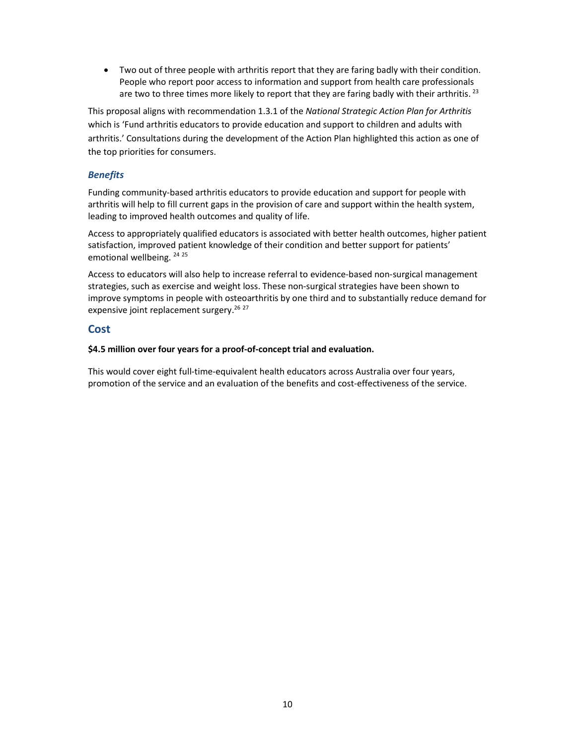Two out of three people with arthritis report that they are faring badly with their condition. People who report poor access to information and support from health care professionals are two to three times more likely to report that they are faring badly with their arthritis.<sup>23</sup>

This proposal aligns with recommendation 1.3.1 of the National Strategic Action Plan for Arthritis which is 'Fund arthritis educators to provide education and support to children and adults with arthritis.' Consultations during the development of the Action Plan highlighted this action as one of the top priorities for consumers.

#### Benefits

Funding community-based arthritis educators to provide education and support for people with arthritis will help to fill current gaps in the provision of care and support within the health system, leading to improved health outcomes and quality of life.

Access to appropriately qualified educators is associated with better health outcomes, higher patient satisfaction, improved patient knowledge of their condition and better support for patients' emotional wellbeing. <sup>24 25</sup>

Access to educators will also help to increase referral to evidence-based non-surgical management strategies, such as exercise and weight loss. These non-surgical strategies have been shown to improve symptoms in people with osteoarthritis by one third and to substantially reduce demand for expensive joint replacement surgery.<sup>26</sup><sup>27</sup>

#### **Cost**

#### \$4.5 million over four years for a proof-of-concept trial and evaluation.

This would cover eight full-time-equivalent health educators across Australia over four years, promotion of the service and an evaluation of the benefits and cost-effectiveness of the service.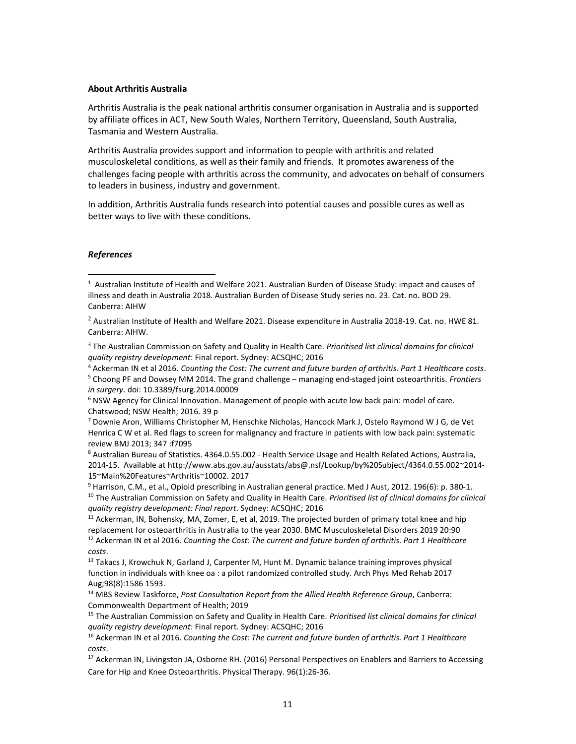#### About Arthritis Australia

Arthritis Australia is the peak national arthritis consumer organisation in Australia and is supported by affiliate offices in ACT, New South Wales, Northern Territory, Queensland, South Australia, Tasmania and Western Australia.

Arthritis Australia provides support and information to people with arthritis and related musculoskeletal conditions, as well as their family and friends. It promotes awareness of the challenges facing people with arthritis across the community, and advocates on behalf of consumers to leaders in business, industry and government.

In addition, Arthritis Australia funds research into potential causes and possible cures as well as better ways to live with these conditions.

#### References

<sup>3</sup> The Australian Commission on Safety and Quality in Health Care. Prioritised list clinical domains for clinical quality registry development: Final report. Sydney: ACSQHC; 2016

<sup>4</sup> Ackerman IN et al 2016. Counting the Cost: The current and future burden of arthritis. Part 1 Healthcare costs.

<sup>5</sup> Choong PF and Dowsey MM 2014. The grand challenge – managing end-staged joint osteoarthritis. Frontiers in surgery. doi: 10.3389/fsurg.2014.00009

<sup>6</sup> NSW Agency for Clinical Innovation. Management of people with acute low back pain: model of care. Chatswood; NSW Health; 2016. 39 p

7 Downie Aron, Williams Christopher M, Henschke Nicholas, Hancock Mark J, Ostelo Raymond W J G, de Vet Henrica C W et al. Red flags to screen for malignancy and fracture in patients with low back pain: systematic review BMJ 2013; 347 :f7095

<sup>8</sup> Australian Bureau of Statistics. 4364.0.55.002 - Health Service Usage and Health Related Actions, Australia, 2014-15. Available at http://www.abs.gov.au/ausstats/abs@.nsf/Lookup/by%20Subject/4364.0.55.002~2014- 15~Main%20Features~Arthritis~10002. 2017

<sup>9</sup> Harrison, C.M., et al., Opioid prescribing in Australian general practice. Med J Aust, 2012. 196(6): p. 380-1.  $10$  The Australian Commission on Safety and Quality in Health Care. Prioritised list of clinical domains for clinical quality registry development: Final report. Sydney: ACSQHC; 2016

 $11$  Ackerman, IN, Bohensky, MA, Zomer, E, et al, 2019. The projected burden of primary total knee and hip replacement for osteoarthritis in Australia to the year 2030. BMC Musculoskeletal Disorders 2019 20:90  $12$  Ackerman IN et al 2016. Counting the Cost: The current and future burden of arthritis. Part 1 Healthcare costs.

<sup>13</sup> Takacs J, Krowchuk N, Garland J, Carpenter M, Hunt M. Dynamic balance training improves physical function in individuals with knee oa : a pilot randomized controlled study. Arch Phys Med Rehab 2017 Aug;98(8):1586 1593.

<sup>14</sup> MBS Review Taskforce, Post Consultation Report from the Allied Health Reference Group, Canberra: Commonwealth Department of Health; 2019

<sup>15</sup> The Australian Commission on Safety and Quality in Health Care. Prioritised list clinical domains for clinical quality registry development: Final report. Sydney: ACSQHC; 2016

<sup>16</sup> Ackerman IN et al 2016. Counting the Cost: The current and future burden of arthritis. Part 1 Healthcare costs.

<sup>17</sup> Ackerman IN, Livingston JA, Osborne RH. (2016) Personal Perspectives on Enablers and Barriers to Accessing Care for Hip and Knee Osteoarthritis. Physical Therapy. 96(1):26-36.

<sup>&</sup>lt;sup>1</sup> Australian Institute of Health and Welfare 2021. Australian Burden of Disease Study: impact and causes of illness and death in Australia 2018. Australian Burden of Disease Study series no. 23. Cat. no. BOD 29. Canberra: AIHW

<sup>&</sup>lt;sup>2</sup> Australian Institute of Health and Welfare 2021. Disease expenditure in Australia 2018-19. Cat. no. HWE 81. Canberra: AIHW.